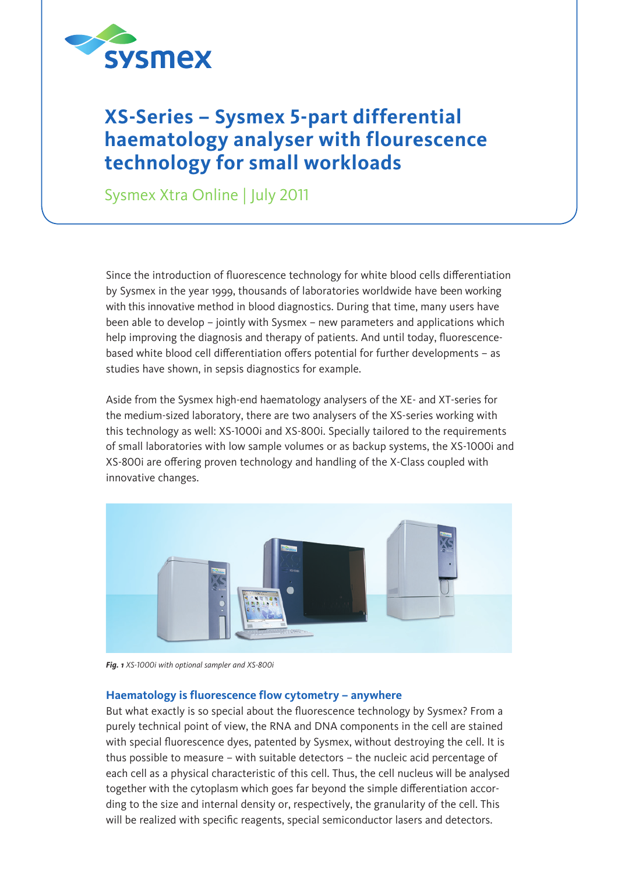

## **XS-Series – Sysmex 5-part differential haematology analyser with flourescence technology for small workloads**

Sysmex Xtra Online | July 2011

Since the introduction of fluorescence technology for white blood cells differentiation by Sysmex in the year 1999, thousands of laboratories worldwide have been working with this innovative method in blood diagnostics. During that time, many users have been able to develop – jointly with Sysmex – new parameters and applications which help improving the diagnosis and therapy of patients. And until today, fluorescencebased white blood cell differentiation offers potential for further developments – as studies have shown, in sepsis diagnostics for example.

Aside from the Sysmex high-end haematology analysers of the XE- and XT-series for the medium-sized laboratory, there are two analysers of the XS-series working with this technology as well: XS-1000i and XS-800i. Specially tailored to the requirements of small laboratories with low sample volumes or as backup systems, the XS-1000i and XS-800i are offering proven technology and handling of the X-Class coupled with innovative changes.



*Fig. 1 XS-1000i with optional sampler and XS-800i*

## **Haematology is fluorescence flow cytometry – anywhere**

But what exactly is so special about the fluorescence technology by Sysmex? From a purely technical point of view, the RNA and DNA components in the cell are stained with special fluorescence dyes, patented by Sysmex, without destroying the cell. It is thus possible to measure – with suitable detectors – the nucleic acid percentage of each cell as a physical characteristic of this cell. Thus, the cell nucleus will be analysed together with the cytoplasm which goes far beyond the simple differentiation according to the size and internal density or, respectively, the granularity of the cell. This will be realized with specific reagents, special semiconductor lasers and detectors.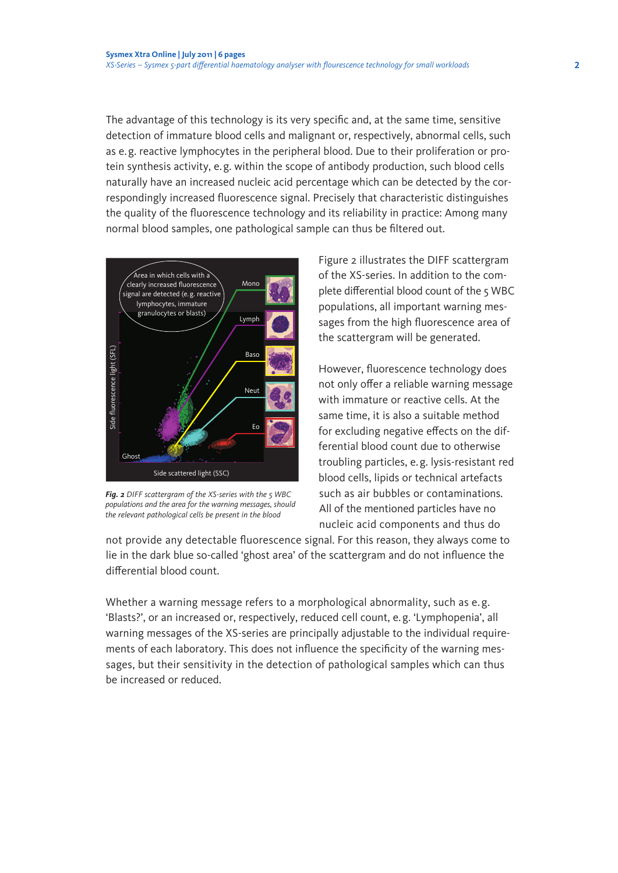The advantage of this technology is its very specific and, at the same time, sensitive detection of immature blood cells and malignant or, respectively, abnormal cells, such as e.g. reactive lymphocytes in the peripheral blood. Due to their proliferation or protein synthesis activity, e.g. within the scope of antibody production, such blood cells naturally have an increased nucleic acid percentage which can be detected by the correspondingly increased fluorescence signal. Precisely that characteristic distinguishes the quality of the fluorescence technology and its reliability in practice: Among many normal blood samples, one pathological sample can thus be filtered out.



*Fig. 2 DIFF scattergram of the XS-series with the 5 WBC populations and the area for the warning messages, should the relevant pathological cells be present in the blood*

Figure 2 illustrates the DIFF scattergram of the XS-series. In addition to the complete differential blood count of the 5 WBC populations, all important warning messages from the high fluorescence area of the scattergram will be generated.

However, fluorescence technology does not only offer a reliable warning message with immature or reactive cells. At the same time, it is also a suitable method for excluding negative effects on the differential blood count due to otherwise troubling particles, e.g. lysis-resistant red blood cells, lipids or technical artefacts such as air bubbles or contaminations. All of the mentioned particles have no nucleic acid components and thus do

not provide any detectable fluorescence signal. For this reason, they always come to lie in the dark blue so-called 'ghost area' of the scattergram and do not influence the differential blood count.

Whether a warning message refers to a morphological abnormality, such as e.g. 'Blasts?', or an increased or, respectively, reduced cell count, e.g. 'Lymphopenia', all warning messages of the XS-series are principally adjustable to the individual requirements of each laboratory. This does not influence the specificity of the warning messages, but their sensitivity in the detection of pathological samples which can thus be increased or reduced.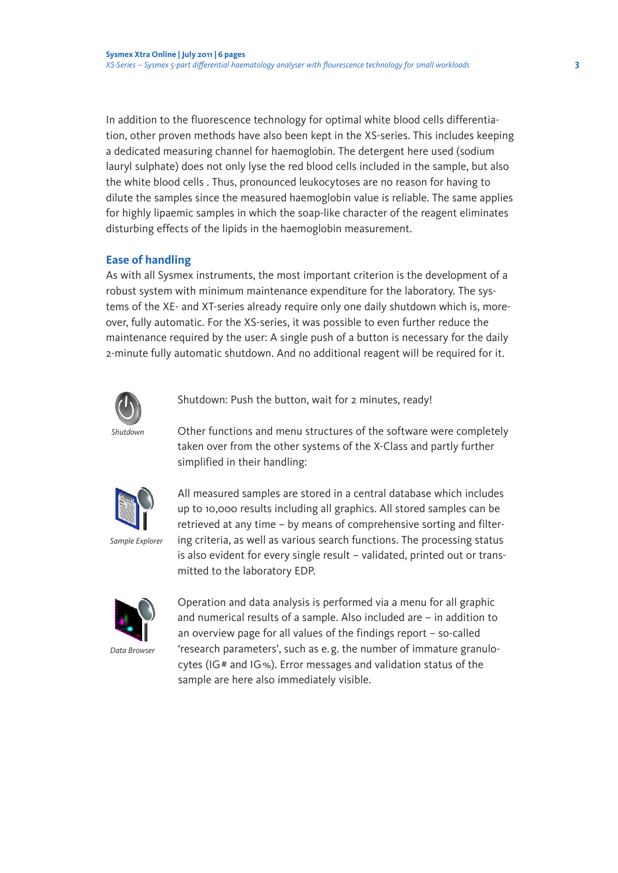In addition to the fluorescence technology for optimal white blood cells differentiation, other proven methods have also been kept in the XS-series. This includes keeping a dedicated measuring channel for haemoglobin. The detergent here used (sodium lauryl sulphate) does not only lyse the red blood cells included in the sample, but also the white blood cells . Thus, pronounced leukocytoses are no reason for having to dilute the samples since the measured haemoglobin value is reliable. The same applies for highly lipaemic samples in which the soap-like character of the reagent eliminates disturbing effects of the lipids in the haemoglobin measurement.

## **Ease of handling**

As with all Sysmex instruments, the most important criterion is the development of a robust system with minimum maintenance expenditure for the laboratory. The systems of the XE- and XT-series already require only one daily shutdown which is, moreover, fully automatic. For the XS-series, it was possible to even further reduce the maintenance required by the user: A single push of a button is necessary for the daily 2-minute fully automatic shutdown. And no additional reagent will be required for it.



Shutdown: Push the button, wait for 2 minutes, ready!

Other functions and menu structures of the software were completely taken over from the other systems of the X-Class and partly further simplified in their handling:



*Sample Explorer*

All measured samples are stored in a central database which includes up to 10,000 results including all graphics. All stored samples can be retrieved at any time – by means of comprehensive sorting and filtering criteria, as well as various search functions. The processing status is also evident for every single result – validated, printed out or transmitted to the laboratory EDP.



Operation and data analysis is performed via a menu for all graphic and numerical results of a sample. Also included are – in addition to an overview page for all values of the findings report – so-called 'research parameters', such as e. g. the number of immature granulocytes (IG# and IG%). Error messages and validation status of the sample are here also immediately visible.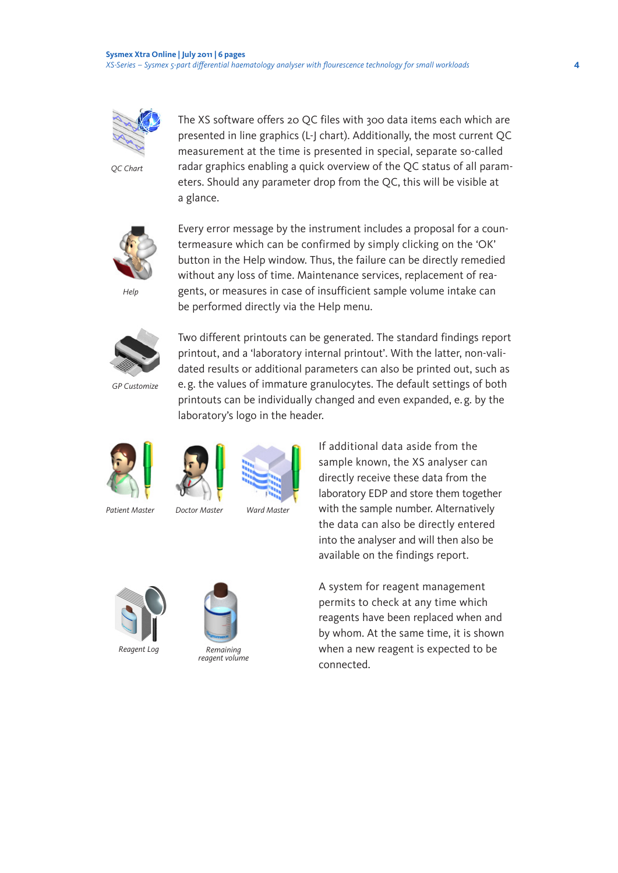

*QC Chart*

The XS software offers 20 QC files with 300 data items each which are presented in line graphics (L-J chart). Additionally, the most current QC measurement at the time is presented in special, separate so-called radar graphics enabling a quick overview of the QC status of all parameters. Should any parameter drop from the QC, this will be visible at a glance.



*Help*

Every error message by the instrument includes a proposal for a countermeasure which can be confirmed by simply clicking on the 'OK' button in the Help window. Thus, the failure can be directly remedied without any loss of time. Maintenance services, replacement of reagents, or measures in case of insufficient sample volume intake can be performed directly via the Help menu.



*GP Customize*

Two different printouts can be generated. The standard findings report printout, and a 'laboratory internal printout'. With the latter, non-validated results or additional parameters can also be printed out, such as e. g. the values of immature granulocytes. The default settings of both printouts can be individually changed and even expanded, e. g. by the laboratory's logo in the header.





*Patient Master Doctor Master Ward Master*





If additional data aside from the sample known, the XS analyser can directly receive these data from the laboratory EDP and store them together with the sample number. Alternatively the data can also be directly entered into the analyser and will then also be available on the findings report.



*Reagent Log*



*Remaining reagent volume*

A system for reagent management permits to check at any time which reagents have been replaced when and by whom. At the same time, it is shown when a new reagent is expected to be connected.